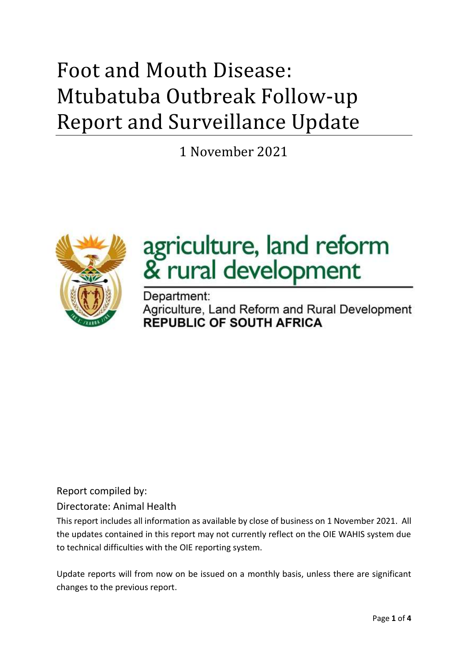# Foot and Mouth Disease: Mtubatuba Outbreak Follow-up Report and Surveillance Update

1 November 2021



# agriculture, land reform & rural development

Department: Agriculture, Land Reform and Rural Development **REPUBLIC OF SOUTH AFRICA** 

Report compiled by:

Directorate: Animal Health

This report includes all information as available by close of business on 1 November 2021. All the updates contained in this report may not currently reflect on the OIE WAHIS system due to technical difficulties with the OIE reporting system.

Update reports will from now on be issued on a monthly basis, unless there are significant changes to the previous report.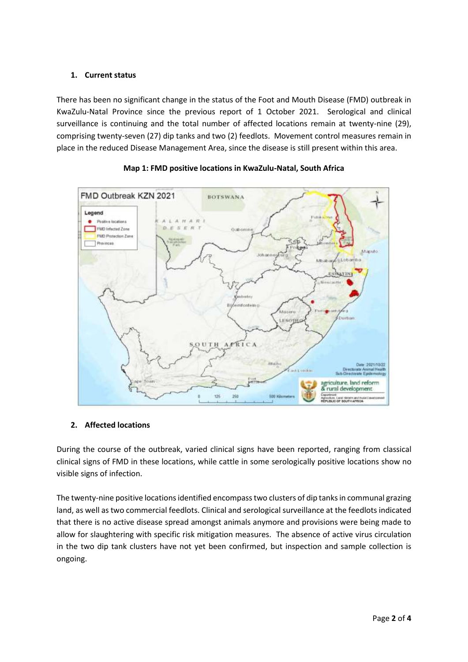# **1. Current status**

There has been no significant change in the status of the Foot and Mouth Disease (FMD) outbreak in KwaZulu-Natal Province since the previous report of 1 October 2021. Serological and clinical surveillance is continuing and the total number of affected locations remain at twenty-nine (29), comprising twenty-seven (27) dip tanks and two (2) feedlots. Movement control measures remain in place in the reduced Disease Management Area, since the disease is still present within this area.





# **2. Affected locations**

During the course of the outbreak, varied clinical signs have been reported, ranging from classical clinical signs of FMD in these locations, while cattle in some serologically positive locations show no visible signs of infection.

The twenty-nine positive locations identified encompass two clusters of dip tanks in communal grazing land, as well as two commercial feedlots. Clinical and serological surveillance at the feedlots indicated that there is no active disease spread amongst animals anymore and provisions were being made to allow for slaughtering with specific risk mitigation measures. The absence of active virus circulation in the two dip tank clusters have not yet been confirmed, but inspection and sample collection is ongoing.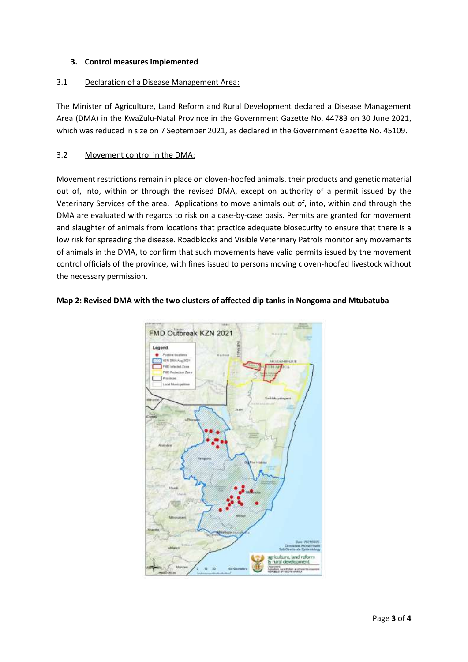# **3. Control measures implemented**

# 3.1 Declaration of a Disease Management Area:

The Minister of Agriculture, Land Reform and Rural Development declared a Disease Management Area (DMA) in the KwaZulu-Natal Province in the Government Gazette No. 44783 on 30 June 2021, which was reduced in size on 7 September 2021, as declared in the Government Gazette No. 45109.

# 3.2 Movement control in the DMA:

Movement restrictions remain in place on cloven-hoofed animals, their products and genetic material out of, into, within or through the revised DMA, except on authority of a permit issued by the Veterinary Services of the area. Applications to move animals out of, into, within and through the DMA are evaluated with regards to risk on a case-by-case basis. Permits are granted for movement and slaughter of animals from locations that practice adequate biosecurity to ensure that there is a low risk for spreading the disease. Roadblocks and Visible Veterinary Patrols monitor any movements of animals in the DMA, to confirm that such movements have valid permits issued by the movement control officials of the province, with fines issued to persons moving cloven-hoofed livestock without the necessary permission.



#### **Map 2: Revised DMA with the two clusters of affected dip tanks in Nongoma and Mtubatuba**